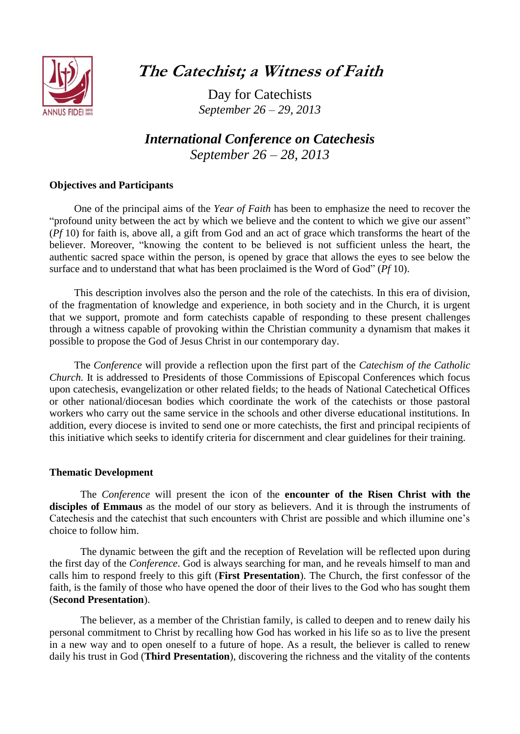

**The Catechist; a Witness of Faith**

Day for Catechists *September 26 – 29, 2013*

*International Conference on Catechesis September 26 – 28, 2013*

## **Objectives and Participants**

One of the principal aims of the *Year of Faith* has been to emphasize the need to recover the "profound unity between the act by which we believe and the content to which we give our assent" (*Pf* 10) for faith is, above all, a gift from God and an act of grace which transforms the heart of the believer. Moreover, "knowing the content to be believed is not sufficient unless the heart, the authentic sacred space within the person, is opened by grace that allows the eyes to see below the surface and to understand that what has been proclaimed is the Word of God" (*Pf* 10).

This description involves also the person and the role of the catechists. In this era of division, of the fragmentation of knowledge and experience, in both society and in the Church, it is urgent that we support, promote and form catechists capable of responding to these present challenges through a witness capable of provoking within the Christian community a dynamism that makes it possible to propose the God of Jesus Christ in our contemporary day.

The *Conference* will provide a reflection upon the first part of the *Catechism of the Catholic Church.* It is addressed to Presidents of those Commissions of Episcopal Conferences which focus upon catechesis, evangelization or other related fields; to the heads of National Catechetical Offices or other national/diocesan bodies which coordinate the work of the catechists or those pastoral workers who carry out the same service in the schools and other diverse educational institutions. In addition, every diocese is invited to send one or more catechists, the first and principal recipients of this initiative which seeks to identify criteria for discernment and clear guidelines for their training.

#### **Thematic Development**

The *Conference* will present the icon of the **encounter of the Risen Christ with the disciples of Emmaus** as the model of our story as believers. And it is through the instruments of Catechesis and the catechist that such encounters with Christ are possible and which illumine one's choice to follow him.

The dynamic between the gift and the reception of Revelation will be reflected upon during the first day of the *Conference*. God is always searching for man, and he reveals himself to man and calls him to respond freely to this gift (**First Presentation**). The Church, the first confessor of the faith, is the family of those who have opened the door of their lives to the God who has sought them (**Second Presentation**).

The believer, as a member of the Christian family, is called to deepen and to renew daily his personal commitment to Christ by recalling how God has worked in his life so as to live the present in a new way and to open oneself to a future of hope. As a result, the believer is called to renew daily his trust in God (**Third Presentation**), discovering the richness and the vitality of the contents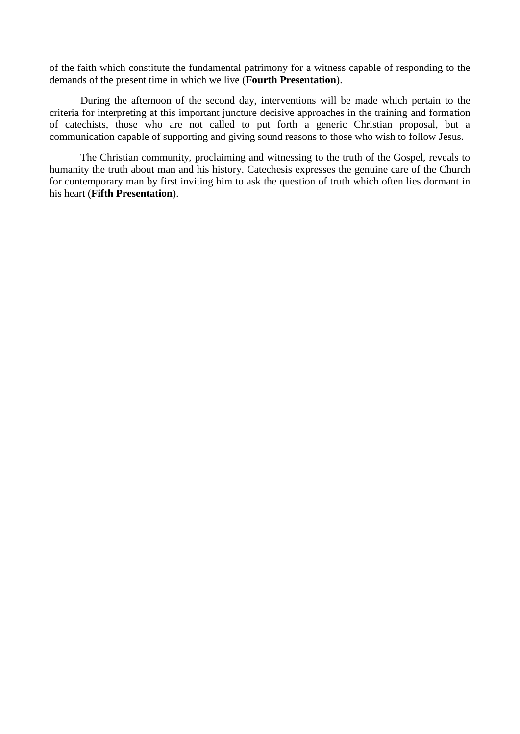of the faith which constitute the fundamental patrimony for a witness capable of responding to the demands of the present time in which we live (**Fourth Presentation**).

During the afternoon of the second day, interventions will be made which pertain to the criteria for interpreting at this important juncture decisive approaches in the training and formation of catechists, those who are not called to put forth a generic Christian proposal, but a communication capable of supporting and giving sound reasons to those who wish to follow Jesus.

The Christian community, proclaiming and witnessing to the truth of the Gospel, reveals to humanity the truth about man and his history. Catechesis expresses the genuine care of the Church for contemporary man by first inviting him to ask the question of truth which often lies dormant in his heart (**Fifth Presentation**).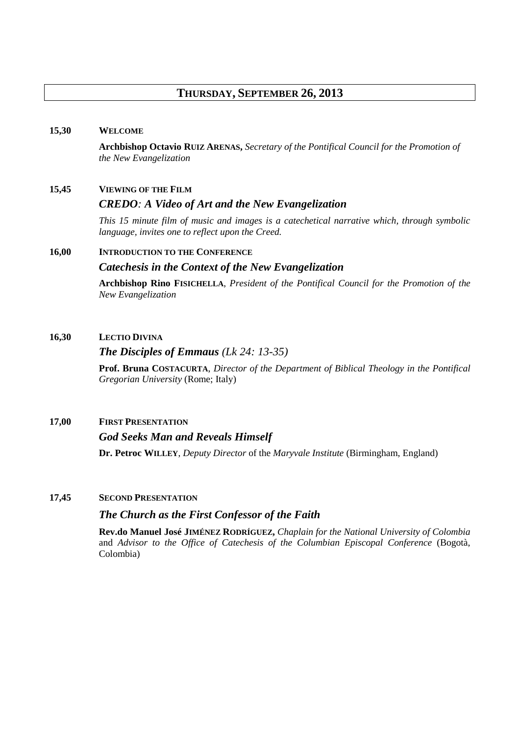## **THURSDAY, SEPTEMBER 26, 2013**

#### **15,30 WELCOME**

**Archbishop Octavio RUIZ ARENAS,** *Secretary of the Pontifical Council for the Promotion of the New Evangelization*

## **15,45 VIEWING OF THE FILM**

#### *CREDO: A Video of Art and the New Evangelization*

*This 15 minute film of music and images is a catechetical narrative which, through symbolic language, invites one to reflect upon the Creed.*

## **16,00 INTRODUCTION TO THE CONFERENCE**

#### *Catechesis in the Context of the New Evangelization*

**Archbishop Rino FISICHELLA**, *President of the Pontifical Council for the Promotion of the New Evangelization*

#### **16,30 LECTIO DIVINA**

#### *The Disciples of Emmaus (Lk 24: 13-35)*

**Prof. Bruna COSTACURTA**, *Director of the Department of Biblical Theology in the Pontifical Gregorian University* (Rome; Italy)

## **17,00 FIRST PRESENTATION**

#### *God Seeks Man and Reveals Himself*

**Dr. Petroc WILLEY**, *Deputy Director* of the *Maryvale Institute* (Birmingham, England)

#### **17,45 SECOND PRESENTATION**

### *The Church as the First Confessor of the Faith*

**Rev.do Manuel José JIMÉNEZ RODRÍGUEZ,** *Chaplain for the National University of Colombia*  and *Advisor to the Office of Catechesis of the Columbian Episcopal Conference* (Bogotà, Colombia)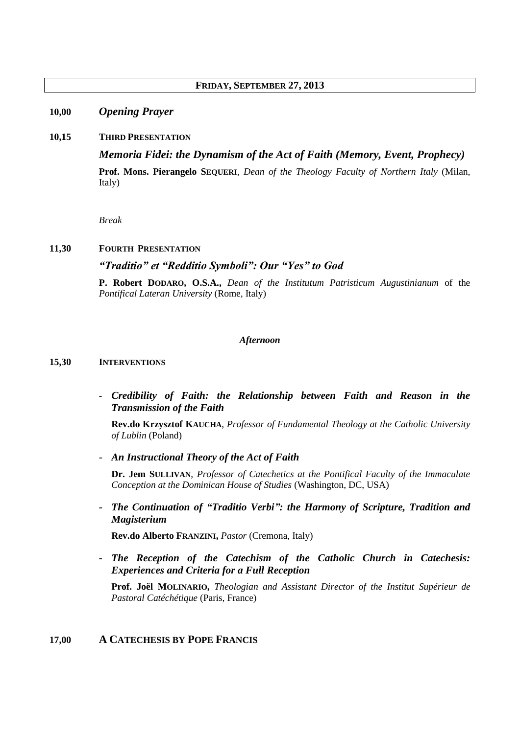## **FRIDAY, SEPTEMBER 27, 2013**

## **10,00** *Opening Prayer*

#### **10,15 THIRD PRESENTATION**

*Memoria Fidei: the Dynamism of the Act of Faith (Memory, Event, Prophecy)* **Prof. Mons. Pierangelo SEQUERI**, *Dean of the Theology Faculty of Northern Italy* (Milan, Italy)

*Break*

#### **11,30 FOURTH PRESENTATION**

## *"Traditio" et "Redditio Symboli": Our "Yes" to God*

**P. Robert DODARO, O.S.A.,** *Dean of the Institutum Patristicum Augustinianum* of the *Pontifical Lateran University* (Rome, Italy)

#### *Afternoon*

#### **15,30 INTERVENTIONS**

- *Credibility of Faith: the Relationship between Faith and Reason in the Transmission of the Faith*

**Rev.do Krzysztof KAUCHA**, *Professor of Fundamental Theology at the Catholic University of Lublin* (Poland)

- *An Instructional Theory of the Act of Faith*

**Dr. Jem SULLIVAN**, *Professor of Catechetics at the Pontifical Faculty of the Immaculate Conception at the Dominican House of Studies* (Washington, DC, USA)

*- The Continuation of "Traditio Verbi": the Harmony of Scripture, Tradition and Magisterium* 

**Rev.do Alberto FRANZINI,** *Pastor* (Cremona, Italy)

*- The Reception of the Catechism of the Catholic Church in Catechesis: Experiences and Criteria for a Full Reception*

**Prof. Joël MOLINARIO,** *Theologian and Assistant Director of the Institut Supérieur de Pastoral Catéchétique* (Paris, France)

## **17,00 A CATECHESIS BY POPE FRANCIS**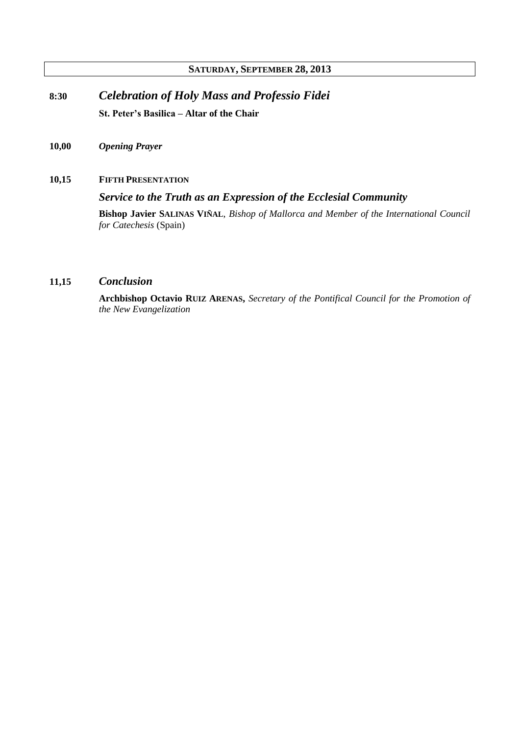## **SATURDAY, SEPTEMBER 28, 2013**

**8:30** *Celebration of Holy Mass and Professio Fidei* **St. Peter's Basilica – Altar of the Chair**

- **10,00** *Opening Prayer*
- **10,15 FIFTH PRESENTATION**

*Service to the Truth as an Expression of the Ecclesial Community*

**Bishop Javier SALINAS VIÑAL**, *Bishop of Mallorca and Member of the International Council for Catechesis* (Spain)

## **11,15** *Conclusion*

**Archbishop Octavio RUIZ ARENAS,** *Secretary of the Pontifical Council for the Promotion of the New Evangelization*